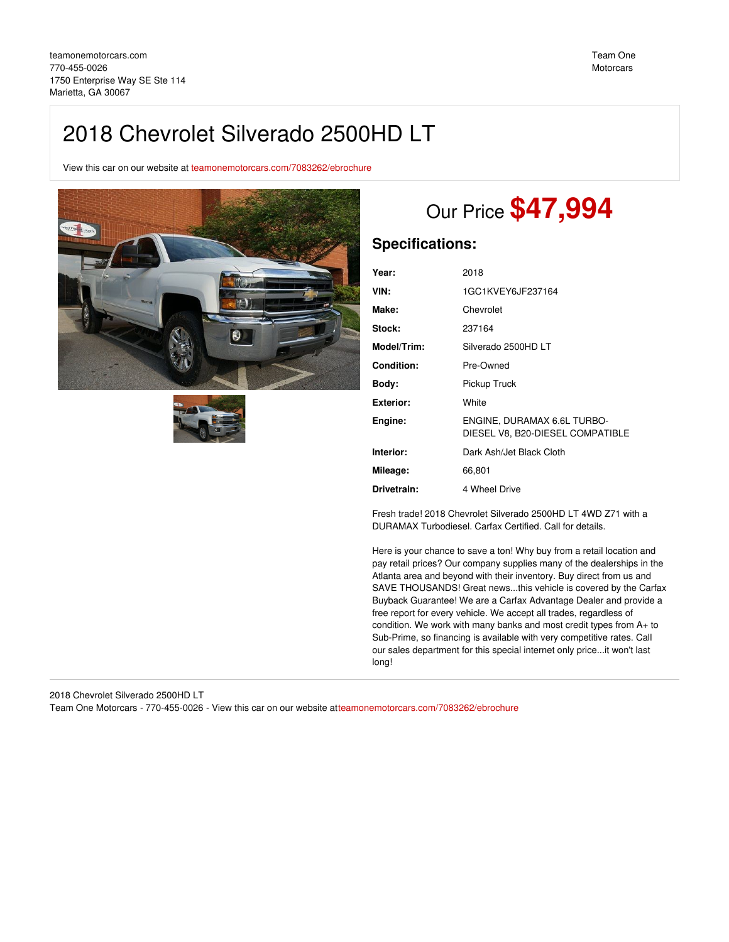## 2018 Chevrolet Silverado 2500HD LT

View this car on our website at [teamonemotorcars.com/7083262/ebrochure](https://teamonemotorcars.com/vehicle/7083262/2018-chevrolet-silverado-2500hd-lt-marietta-ga-30067/7083262/ebrochure)





# Our Price **\$47,994**

## **Specifications:**

| Year:             | 2018                                                            |
|-------------------|-----------------------------------------------------------------|
| VIN:              | 1GC1KVEY6JF237164                                               |
| Make:             | Chevrolet                                                       |
| Stock:            | 237164                                                          |
| Model/Trim:       | Silverado 2500HD LT                                             |
| <b>Condition:</b> | Pre-Owned                                                       |
| Body:             | Pickup Truck                                                    |
| <b>Exterior:</b>  | White                                                           |
| Engine:           | ENGINE, DURAMAX 6.6L TURBO-<br>DIESEL V8, B20-DIESEL COMPATIBLE |
| Interior:         | Dark Ash/Jet Black Cloth                                        |
| Mileage:          | 66,801                                                          |
| Drivetrain:       | 4 Wheel Drive                                                   |

Fresh trade! 2018 Chevrolet Silverado 2500HD LT 4WD Z71 with a DURAMAX Turbodiesel. Carfax Certified. Call for details.

Here is your chance to save a ton! Why buy from a retail location and pay retail prices? Our company supplies many of the dealerships in the Atlanta area and beyond with their inventory. Buy direct from us and SAVE THOUSANDS! Great news...this vehicle is covered by the Carfax Buyback Guarantee! We are a Carfax Advantage Dealer and provide a free report for every vehicle. We accept all trades, regardless of condition. We work with many banks and most credit types from A+ to Sub-Prime, so financing is available with very competitive rates. Call our sales department for this special internet only price...it won't last long!

2018 Chevrolet Silverado 2500HD LT Team One Motorcars - 770-455-0026 - View this car on our website a[tteamonemotorcars.com/7083262/ebrochure](https://teamonemotorcars.com/vehicle/7083262/2018-chevrolet-silverado-2500hd-lt-marietta-ga-30067/7083262/ebrochure)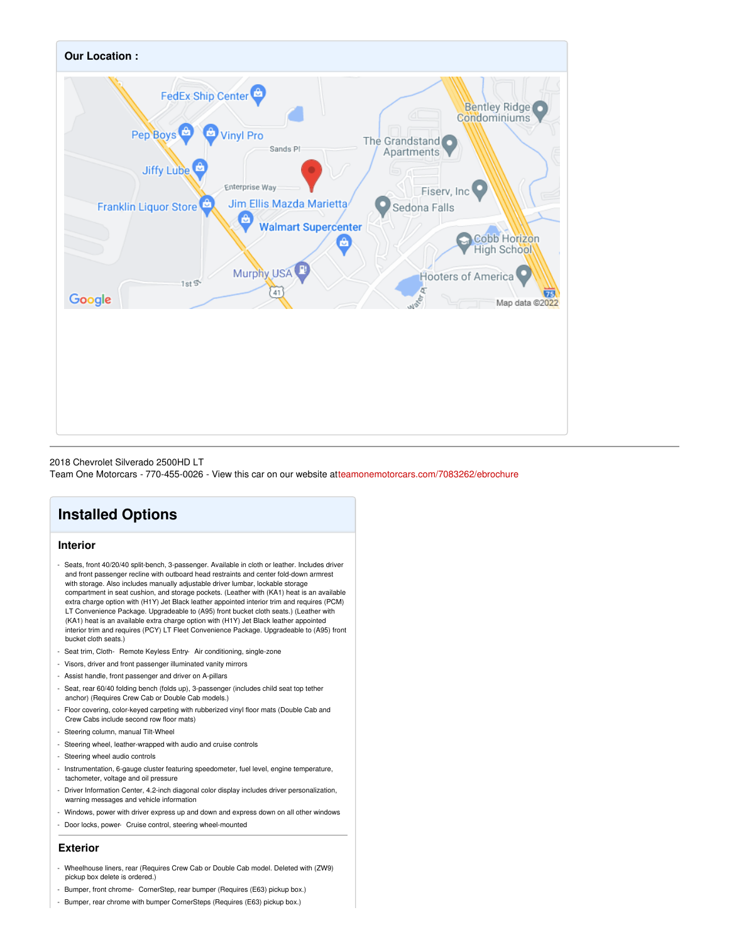

### 2018 Chevrolet Silverado 2500HD LT

Team One Motorcars - 770-455-0026 - View this car on our website a[tteamonemotorcars.com/7083262/ebrochure](https://teamonemotorcars.com/vehicle/7083262/2018-chevrolet-silverado-2500hd-lt-marietta-ga-30067/7083262/ebrochure)

## **Installed Options**

## **Interior**

- Seats, front 40/20/40 split-bench, 3-passenger. Available in cloth or leather. Includes driver and front passenger recline with outboard head restraints and center fold-down armrest with storage. Also includes manually adjustable driver lumbar, lockable storage compartment in seat cushion, and storage pockets. (Leather with (KA1) heat is an available extra charge option with (H1Y) Jet Black leather appointed interior trim and requires (PCM) LT Convenience Package. Upgradeable to (A95) front bucket cloth seats.) (Leather with (KA1) heat is an available extra charge option with (H1Y) Jet Black leather appointed interior trim and requires (PCY) LT Fleet Convenience Package. Upgradeable to (A95) front bucket cloth seats.)
- Seat trim, Cloth- Remote Keyless Entry- Air conditioning, single-zone
- Visors, driver and front passenger illuminated vanity mirrors
- Assist handle, front passenger and driver on A-pillars
- Seat, rear 60/40 folding bench (folds up), 3-passenger (includes child seat top tether anchor) (Requires Crew Cab or Double Cab models.)
- Floor covering, color-keyed carpeting with rubberized vinyl floor mats (Double Cab and Crew Cabs include second row floor mats)
- Steering column, manual Tilt-Wheel
- Steering wheel, leather-wrapped with audio and cruise controls
- Steering wheel audio controls
- Instrumentation, 6-gauge cluster featuring speedometer, fuel level, engine temperature, tachometer, voltage and oil pressure
- Driver Information Center, 4.2-inch diagonal color display includes driver personalization, warning messages and vehicle information
- Windows, power with driver express up and down and express down on all other windows
- Door locks, power- Cruise control, steering wheel-mounted

#### **Exterior**

- Wheelhouse liners, rear (Requires Crew Cab or Double Cab model. Deleted with (ZW9) pickup box delete is ordered.)
- Bumper, front chrome- CornerStep, rear bumper (Requires (E63) pickup box.)
- Bumper, rear chrome with bumper CornerSteps (Requires (E63) pickup box.)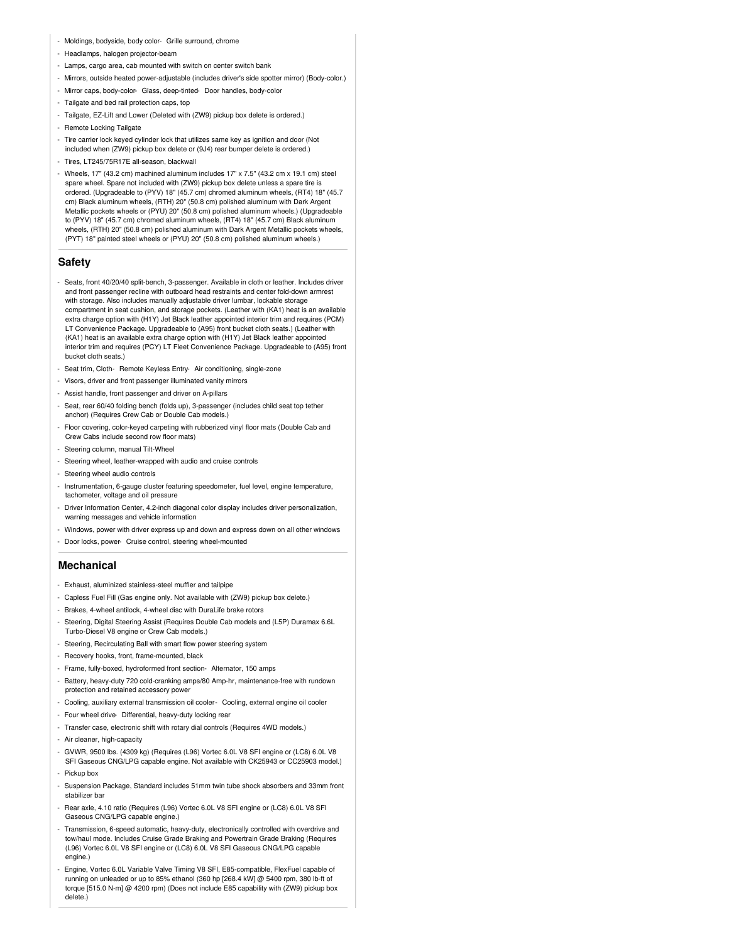- Moldings, bodyside, body color- Grille surround, chrome
- Headlamps, halogen projector-beam
- Lamps, cargo area, cab mounted with switch on center switch bank
- Mirrors, outside heated power-adjustable (includes driver's side spotter mirror) (Body-color.)
- Mirror caps, body-color- Glass, deep-tinted- Door handles, body-color
- Tailgate and bed rail protection caps, top
- Tailgate, EZ-Lift and Lower (Deleted with (ZW9) pickup box delete is ordered.)
- Remote Locking Tailgate
- Tire carrier lock keyed cylinder lock that utilizes same key as ignition and door (Not included when (ZW9) pickup box delete or (9J4) rear bumper delete is ordered.)
- Tires, LT245/75R17E all-season, blackwall
- Wheels, 17" (43.2 cm) machined aluminum includes 17" x 7.5" (43.2 cm x 19.1 cm) steel spare wheel. Spare not included with (ZW9) pickup box delete unless a spare tire is ordered. (Upgradeable to (PYV) 18" (45.7 cm) chromed aluminum wheels, (RT4) 18" (45.7 cm) Black aluminum wheels, (RTH) 20" (50.8 cm) polished aluminum with Dark Argent Metallic pockets wheels or (PYU) 20" (50.8 cm) polished aluminum wheels.) (Upgradeable to (PYV) 18" (45.7 cm) chromed aluminum wheels, (RT4) 18" (45.7 cm) Black aluminum wheels, (RTH) 20" (50.8 cm) polished aluminum with Dark Argent Metallic pockets wheels, (PYT) 18" painted steel wheels or (PYU) 20" (50.8 cm) polished aluminum wheels.)

#### **Safety**

- Seats, front 40/20/40 split-bench, 3-passenger. Available in cloth or leather. Includes driver and front passenger recline with outboard head restraints and center fold-down armrest with storage. Also includes manually adjustable driver lumbar, lockable storage compartment in seat cushion, and storage pockets. (Leather with (KA1) heat is an available extra charge option with (H1Y) Jet Black leather appointed interior trim and requires (PCM) LT Convenience Package. Upgradeable to (A95) front bucket cloth seats.) (Leather with (KA1) heat is an available extra charge option with (H1Y) Jet Black leather appointed interior trim and requires (PCY) LT Fleet Convenience Package. Upgradeable to (A95) front bucket cloth seats.)
- Seat trim, Cloth- Remote Keyless Entry- Air conditioning, single-zone
- Visors, driver and front passenger illuminated vanity mirrors
- Assist handle, front passenger and driver on A-pillars
- Seat, rear 60/40 folding bench (folds up), 3-passenger (includes child seat top tether anchor) (Requires Crew Cab or Double Cab models.)
- Floor covering, color-keyed carpeting with rubberized vinyl floor mats (Double Cab and Crew Cabs include second row floor mats)
- Steering column, manual Tilt-Wheel
- Steering wheel, leather-wrapped with audio and cruise controls
- Steering wheel audio controls
- Instrumentation, 6-gauge cluster featuring speedometer, fuel level, engine temperature, tachometer, voltage and oil pressure
- Driver Information Center, 4.2-inch diagonal color display includes driver personalization, warning messages and vehicle information
- Windows, power with driver express up and down and express down on all other windows
- Door locks, power- Cruise control, steering wheel-mounted

## **Mechanical**

- Exhaust, aluminized stainless-steel muffler and tailpipe
- Capless Fuel Fill (Gas engine only. Not available with (ZW9) pickup box delete.)
- Brakes, 4-wheel antilock, 4-wheel disc with DuraLife brake rotors
- Steering, Digital Steering Assist (Requires Double Cab models and (L5P) Duramax 6.6L Turbo-Diesel V8 engine or Crew Cab models.)
- Steering, Recirculating Ball with smart flow power steering system
- Recovery hooks, front, frame-mounted, black
- Frame, fully-boxed, hydroformed front section- Alternator, 150 amps
- Battery, heavy-duty 720 cold-cranking amps/80 Amp-hr, maintenance-free with rundown protection and retained accessory powe
- Cooling, auxiliary external transmission oil cooler- Cooling, external engine oil cooler
- Four wheel drive- Differential, heavy-duty locking rear
- Transfer case, electronic shift with rotary dial controls (Requires 4WD models.)
- Air cleaner, high-capacity
- GVWR, 9500 lbs. (4309 kg) (Requires (L96) Vortec 6.0L V8 SFI engine or (LC8) 6.0L V8 SFI Gaseous CNG/LPG capable engine. Not available with CK25943 or CC25903 model.)
- Pickup box
- Suspension Package, Standard includes 51mm twin tube shock absorbers and 33mm front stabilizer bar
- Rear axle, 4.10 ratio (Requires (L96) Vortec 6.0L V8 SFI engine or (LC8) 6.0L V8 SFI Gaseous CNG/LPG capable engine.)
- Transmission, 6-speed automatic, heavy-duty, electronically controlled with overdrive and tow/haul mode. Includes Cruise Grade Braking and Powertrain Grade Braking (Requires (L96) Vortec 6.0L V8 SFI engine or (LC8) 6.0L V8 SFI Gaseous CNG/LPG capable engine.)
- Engine, Vortec 6.0L Variable Valve Timing V8 SFI, E85-compatible, FlexFuel capable of running on unleaded or up to 85% ethanol (360 hp [268.4 kW] @ 5400 rpm, 380 lb-ft of torque [515.0 N-m] @ 4200 rpm) (Does not include E85 capability with (ZW9) pickup box delete.)